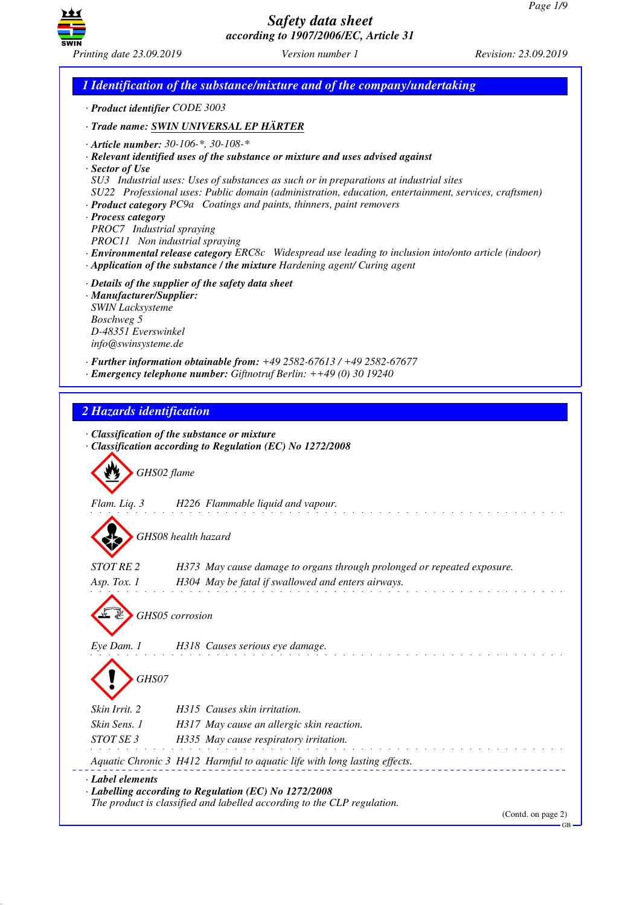

*1 Identification of the substance/mixture and of the company/undertaking · Product identifier CODE 3003 · Trade name: SWIN UNIVERSAL EP HÄRTER · Article number: 30-106-\*, 30-108-\* · Relevant identified uses of the substance or mixture and uses advised against · Sector of Use SU3 Industrial uses: Uses of substances as such or in preparations at industrial sites SU22 Professional uses: Public domain (administration, education, entertainment, services, craftsmen) · Product category PC9a Coatings and paints, thinners, paint removers · Process category PROC7 Industrial spraying PROC11 Non industrial spraying · Environmental release category ERC8c Widespread use leading to inclusion into/onto article (indoor) · Application of the substance / the mixture Hardening agent/ Curing agent · Details of the supplier of the safety data sheet · Manufacturer/Supplier: SWIN Lacksysteme Boschweg 5 D-48351 Everswinkel info@swinsysteme.de · Further information obtainable from: +49 2582-67613 / +49 2582-67677 · Emergency telephone number: Giftnotruf Berlin: ++49 (0) 30 19240 2 Hazards identification · Classification of the substance or mixture · Classification according to Regulation (EC) No 1272/2008* d~*GHS02 flame Flam. Liq. 3 H226 Flammable liquid and vapour.* d~*GHS08 health hazard STOT RE 2 H373 May cause damage to organs through prolonged or repeated exposure. Asp. Tox. 1 H304 May be fatal if swallowed and enters airways.* d~*GHS05 corrosion Eye Dam. 1 H318 Causes serious eye damage.* d~*GHS07 Skin Irrit. 2 H315 Causes skin irritation. Skin Sens. 1 H317 May cause an allergic skin reaction. STOT SE 3 H335 May cause respiratory irritation. Aquatic Chronic 3 H412 Harmful to aquatic life with long lasting effects. · Label elements · Labelling according to Regulation (EC) No 1272/2008 The product is classified and labelled according to the CLP regulation.* (Contd. on page 2) GB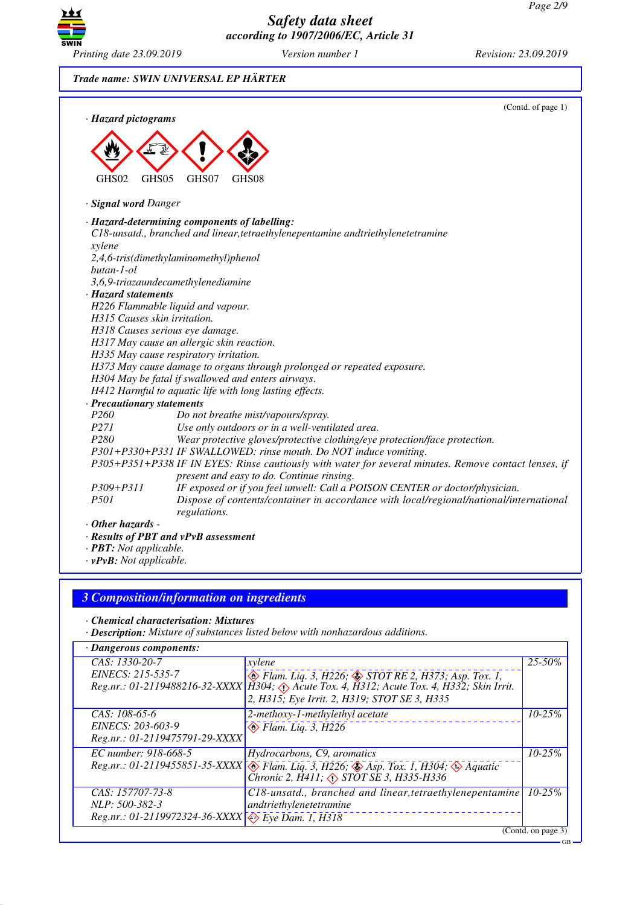

*Trade name: SWIN UNIVERSAL EP HÄRTER*

| · Hazard pictograms            | (Contd. of page 1)                                                                                                                                 |  |
|--------------------------------|----------------------------------------------------------------------------------------------------------------------------------------------------|--|
|                                |                                                                                                                                                    |  |
|                                |                                                                                                                                                    |  |
| GHS05<br>GHS02                 | GHS07<br>GHS08                                                                                                                                     |  |
| · Signal word Danger           |                                                                                                                                                    |  |
|                                | · Hazard-determining components of labelling:                                                                                                      |  |
|                                | C18-unsatd., branched and linear, tetraethylenepentamine andtriethylenetetramine                                                                   |  |
| xylene                         |                                                                                                                                                    |  |
| $butan-1-ol$                   | 2,4,6-tris(dimethylaminomethyl)phenol                                                                                                              |  |
|                                | 3,6,9-triazaundecamethylenediamine                                                                                                                 |  |
| · Hazard statements            |                                                                                                                                                    |  |
|                                | H226 Flammable liquid and vapour.                                                                                                                  |  |
| H315 Causes skin irritation.   |                                                                                                                                                    |  |
|                                | H318 Causes serious eye damage.                                                                                                                    |  |
|                                | H317 May cause an allergic skin reaction.                                                                                                          |  |
|                                | H335 May cause respiratory irritation.                                                                                                             |  |
|                                | H373 May cause damage to organs through prolonged or repeated exposure.                                                                            |  |
|                                | H304 May be fatal if swallowed and enters airways.                                                                                                 |  |
|                                | H412 Harmful to aquatic life with long lasting effects.                                                                                            |  |
| · Precautionary statements     |                                                                                                                                                    |  |
| P <sub>260</sub>               | Do not breathe mist/vapours/spray.                                                                                                                 |  |
| P271                           | Use only outdoors or in a well-ventilated area.                                                                                                    |  |
| P <sub>280</sub>               | Wear protective gloves/protective clothing/eye protection/face protection.                                                                         |  |
|                                | P301+P330+P331 IF SWALLOWED: rinse mouth. Do NOT induce vomiting.                                                                                  |  |
|                                | P305+P351+P338 IF IN EYES: Rinse cautiously with water for several minutes. Remove contact lenses, if<br>present and easy to do. Continue rinsing. |  |
| P309+P311                      | IF exposed or if you feel unwell: Call a POISON CENTER or doctor/physician.                                                                        |  |
| <i>P501</i>                    | Dispose of contents/container in accordance with local/regional/national/international<br>regulations.                                             |  |
| $\cdot$ Other hazards -        |                                                                                                                                                    |  |
|                                | · Results of PBT and vPvB assessment                                                                                                               |  |
| · <b>PBT</b> : Not applicable. |                                                                                                                                                    |  |

*· vPvB: Not applicable.*

## *3 Composition/information on ingredients*

*· Chemical characterisation: Mixtures*

*· Description: Mixture of substances listed below with nonhazardous additions.*

| · Dangerous components:                                                                                 |                                                                                                                                                                                                                                         |                        |  |
|---------------------------------------------------------------------------------------------------------|-----------------------------------------------------------------------------------------------------------------------------------------------------------------------------------------------------------------------------------------|------------------------|--|
| CAS: 1330-20-7<br>EINECS: 215-535-7                                                                     | xylene<br>$\diamondsuit$ Flam. Liq. 3, H226; $\diamondsuit$ STOT RE 2, H373; Asp. Tox. 1,<br>Reg.nr.: 01-2119488216-32-XXXX   H304; Acute Tox. 4, H312; Acute Tox. 4, H332; Skin Irrit.<br>2, H315; Eye Irrit. 2, H319; STOT SE 3, H335 | $\overline{25} - 50\%$ |  |
| $CAS: 108-65-6$<br>EINECS: 203-603-9<br>Reg.nr.: 01-2119475791-29-XXXX                                  | 2-methoxy-1-methylethyl acetate<br>$\otimes$ Flam. Liq. 3, H226                                                                                                                                                                         | $10 - 25%$             |  |
| EC number: 918-668-5                                                                                    | Hydrocarbons, C9, aromatics<br>Reg.nr.: 01-2119455851-35-XXXX Tann. Liq. 3, H226; Asp. Tox. 1, H304; A Aquatic Chronic 2, H411; $\circled$ STOT SE 3, H335-H336                                                                         | $10 - 25%$             |  |
| CAS: 157707-73-8<br>NLP: 500-382-3<br>Reg.nr.: 01-2119972324-36-XXXX $\leftrightarrow$ Eye Dam. 1, H318 | C18-unsatd., branched and linear, tetraethylenepentamine<br>andtriethylenetetramine                                                                                                                                                     | $10 - 25%$             |  |
|                                                                                                         |                                                                                                                                                                                                                                         | (Contd. on page 3)     |  |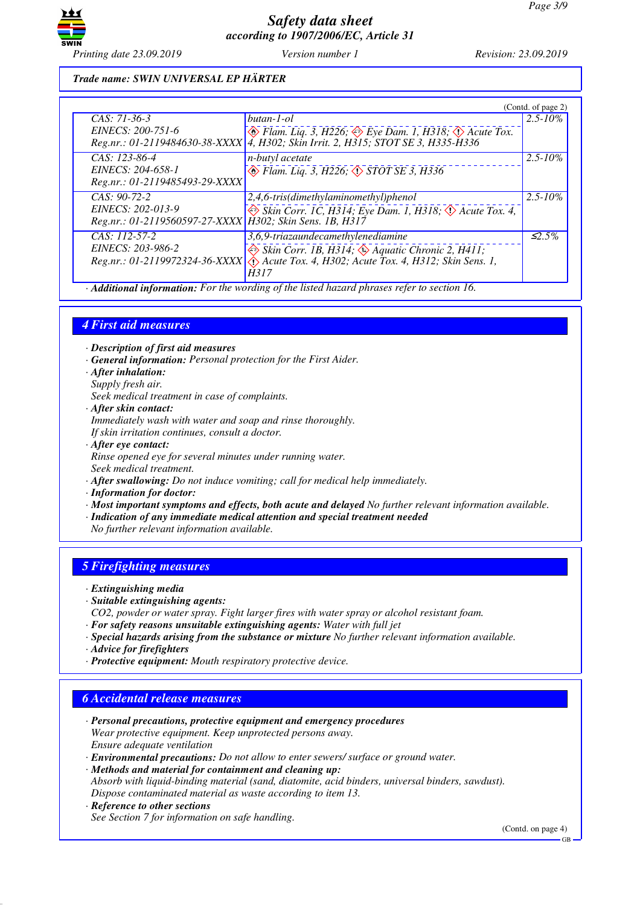

## *Trade name: SWIN UNIVERSAL EP HÄRTER*

|                                                                                 |                                                                                                                                                                                               | (Contd. of page 2) |
|---------------------------------------------------------------------------------|-----------------------------------------------------------------------------------------------------------------------------------------------------------------------------------------------|--------------------|
| $CAS: 71-36-3$                                                                  | butan-1-ol                                                                                                                                                                                    | $2.5 - 10\%$       |
| EINECS: 200-751-6                                                               | $\Leftrightarrow$ Flam. Liq. 3, H226; $\Leftrightarrow$ Eye Dam. 1, H318; $\Leftrightarrow$ Acute Tox.<br>Reg.nr.: 01-2119484630-38-XXXX   4, H302; Skin Irrit. 2, H315; STOT SE 3, H335-H336 |                    |
| CAS: 123-86-4                                                                   | n-butyl acetate                                                                                                                                                                               | $2.5 - 10\%$       |
| EINECS: 204-658-1                                                               | $\circledcirc$ Flam. Liq. 3, H226; $\circledcirc$ STOT SE 3, H336                                                                                                                             |                    |
| Reg.nr.: 01-2119485493-29-XXXX                                                  |                                                                                                                                                                                               |                    |
| $CAS: 90-72-2$                                                                  | 2,4,6-tris(dimethylaminomethyl)phenol                                                                                                                                                         | $2.5 - 10\%$       |
| EINECS: 202-013-9<br>Reg.nr.: 01-2119560597-27-XXXX   H302; Skin Sens. 1B, H317 | $\Leftrightarrow$ Skin Corr. 1C, H314; Eye Dam. 1, H318; $\Leftrightarrow$ Acute Tox. 4,                                                                                                      |                    |
|                                                                                 |                                                                                                                                                                                               |                    |
| CAS: 112-57-2                                                                   | 3,6,9-triazaundecamethylenediamine                                                                                                                                                            | $\leq 2.5\%$       |
| EINECS: 203-986-2                                                               | $\Leftrightarrow$ Skin Corr. 1B, H314; $\Leftrightarrow$ Aquatic Chronic 2, H411;                                                                                                             |                    |
|                                                                                 | Reg.nr.: 01-2119972324-36-XXXX $\langle \cdot \rangle$ Acute Tox. 4, H302; Acute Tox. 4, H312; Skin Sens. 1,                                                                                  |                    |
|                                                                                 | H317<br>$0.1 \quad 11 \quad 11$<br>$\mathbf{1}$<br>$\mathcal{C}$ and $\mathcal{C}$                                                                                                            |                    |

*· Additional information: For the wording of the listed hazard phrases refer to section 16.*

## *4 First aid measures*

*· Description of first aid measures*

*· General information: Personal protection for the First Aider.*

- *· After inhalation:*
- *Supply fresh air.*

*Seek medical treatment in case of complaints.*

*· After skin contact:*

*Immediately wash with water and soap and rinse thoroughly.*

*If skin irritation continues, consult a doctor.*

*· After eye contact:*

*Rinse opened eye for several minutes under running water.*

*Seek medical treatment.*

- *· After swallowing: Do not induce vomiting; call for medical help immediately.*
- *· Information for doctor:*
- *· Most important symptoms and effects, both acute and delayed No further relevant information available.*
- *· Indication of any immediate medical attention and special treatment needed*

*No further relevant information available.*

### *5 Firefighting measures*

*· Extinguishing media*

- *· Suitable extinguishing agents:*
- *CO2, powder or water spray. Fight larger fires with water spray or alcohol resistant foam.*
- *· For safety reasons unsuitable extinguishing agents: Water with full jet*
- *· Special hazards arising from the substance or mixture No further relevant information available.*
- *· Advice for firefighters*
- *· Protective equipment: Mouth respiratory protective device.*

### *6 Accidental release measures*

- *· Personal precautions, protective equipment and emergency procedures Wear protective equipment. Keep unprotected persons away. Ensure adequate ventilation*
- *· Environmental precautions: Do not allow to enter sewers/ surface or ground water.*

*· Methods and material for containment and cleaning up:*

*Absorb with liquid-binding material (sand, diatomite, acid binders, universal binders, sawdust). Dispose contaminated material as waste according to item 13.*

### *· Reference to other sections*

*See Section 7 for information on safe handling.*

(Contd. on page 4)

GB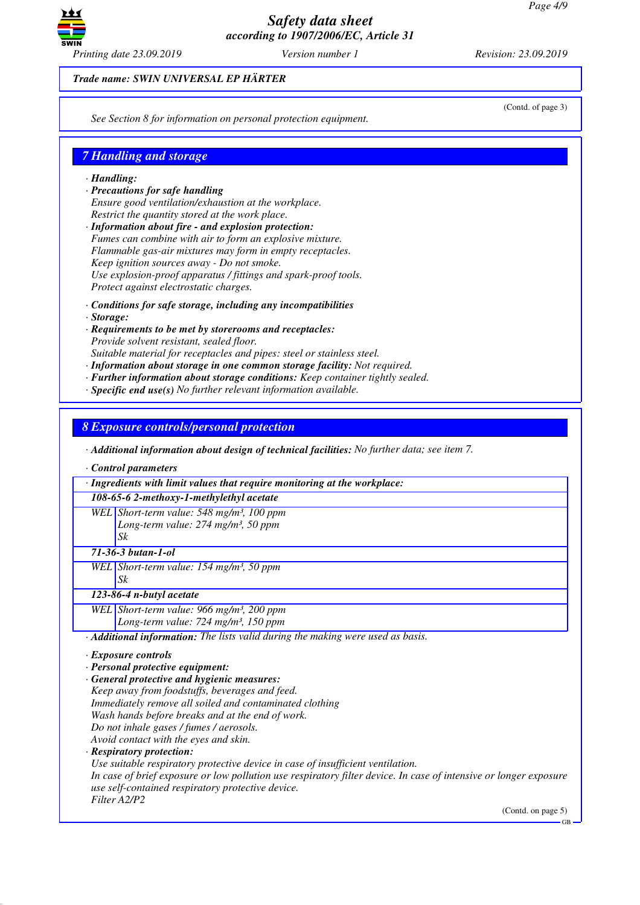

*Trade name: SWIN UNIVERSAL EP HÄRTER*

*See Section 8 for information on personal protection equipment.*

## *7 Handling and storage*

#### *· Handling:*

- *· Precautions for safe handling Ensure good ventilation/exhaustion at the workplace. Restrict the quantity stored at the work place.*
- *· Information about fire and explosion protection: Fumes can combine with air to form an explosive mixture. Flammable gas-air mixtures may form in empty receptacles. Keep ignition sources away - Do not smoke. Use explosion-proof apparatus / fittings and spark-proof tools. Protect against electrostatic charges.*
- *· Conditions for safe storage, including any incompatibilities*
- *· Storage:*
- *· Requirements to be met by storerooms and receptacles: Provide solvent resistant, sealed floor.*

*Suitable material for receptacles and pipes: steel or stainless steel.*

- *· Information about storage in one common storage facility: Not required.*
- *· Further information about storage conditions: Keep container tightly sealed.*
- *· Specific end use(s) No further relevant information available.*

*8 Exposure controls/personal protection*

*· Additional information about design of technical facilities: No further data; see item 7.*

*· Control parameters*

| · Ingredients with limit values that require monitoring at the workplace:                                                                                              |
|------------------------------------------------------------------------------------------------------------------------------------------------------------------------|
| 108-65-6 2-methoxy-1-methylethyl acetate                                                                                                                               |
| WEL Short-term value: 548 mg/m <sup>3</sup> , 100 ppm                                                                                                                  |
| Long-term value: 274 mg/m <sup>3</sup> , 50 ppm                                                                                                                        |
| Sk                                                                                                                                                                     |
| 71-36-3 butan-1-ol                                                                                                                                                     |
| WEL Short-term value: $154$ mg/m <sup>3</sup> , 50 ppm                                                                                                                 |
| Sk                                                                                                                                                                     |
| 123-86-4 n-butyl acetate                                                                                                                                               |
| WEL Short-term value: 966 mg/m <sup>3</sup> , 200 ppm                                                                                                                  |
| Long-term value: $724$ mg/m <sup>3</sup> , 150 ppm                                                                                                                     |
| · Additional information: The lists valid during the making were used as basis.                                                                                        |
| $\cdot$ Exposure controls                                                                                                                                              |
| · Personal protective equipment:                                                                                                                                       |
| · General protective and hygienic measures:                                                                                                                            |
| Keep away from foodstuffs, beverages and feed.                                                                                                                         |
| Immediately remove all soiled and contaminated clothing                                                                                                                |
| Wash hands before breaks and at the end of work.                                                                                                                       |
| Do not inhale gases / fumes / aerosols.                                                                                                                                |
| Avoid contact with the eyes and skin.                                                                                                                                  |
| · Respiratory protection:                                                                                                                                              |
| Use suitable respiratory protective device in case of insufficient ventilation.                                                                                        |
| In case of brief exposure or low pollution use respiratory filter device. In case of intensive or longer exposure<br>use self-contained respiratory protective device. |
| Filter A2/P2                                                                                                                                                           |
| (Contd. on page 5)<br>$GB -$                                                                                                                                           |

(Contd. of page 3)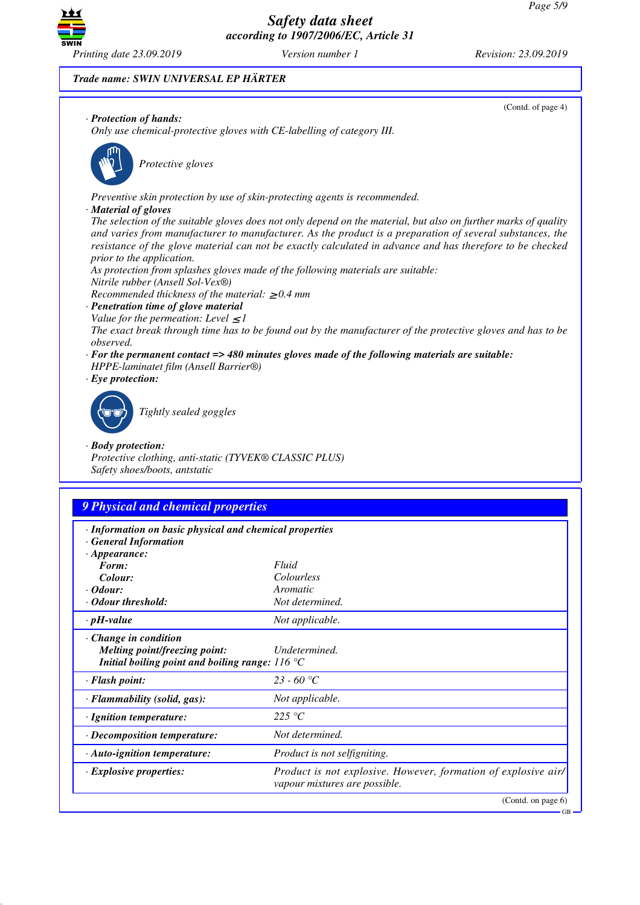

(Contd. of page 4)

*Trade name: SWIN UNIVERSAL EP HÄRTER*

### *· Protection of hands:*

*Only use chemical-protective gloves with CE-labelling of category III.*



\_S*Protective gloves*

*Preventive skin protection by use of skin-protecting agents is recommended.*

#### *· Material of gloves*

*The selection of the suitable gloves does not only depend on the material, but also on further marks of quality and varies from manufacturer to manufacturer. As the product is a preparation of several substances, the resistance of the glove material can not be exactly calculated in advance and has therefore to be checked prior to the application.*

*As protection from splashes gloves made of the following materials are suitable:*

*Nitrile rubber (Ansell Sol-Vex®)*

*Recommended thickness of the material:* ≥ *0.4 mm*

- *· Penetration time of glove material*
- *Value for the permeation: Level*  $\leq$  *I*

*The exact break through time has to be found out by the manufacturer of the protective gloves and has to be observed.*

- *· For the permanent contact => 480 minutes gloves made of the following materials are suitable: HPPE-laminatet film (Ansell Barrier®)*
- *· Eye protection:*



\_R*Tightly sealed goggles*

### *· Body protection:*

*Protective clothing, anti-static (TYVEK® CLASSIC PLUS) Safety shoes/boots, antstatic*

## *9 Physical and chemical properties*

- *· Information on basic physical and chemical properties*
- *· General Information*

| $\cdot$ Appearance:                                      |                                                                                                 |
|----------------------------------------------------------|-------------------------------------------------------------------------------------------------|
| Form:                                                    | Fluid                                                                                           |
| Colour:                                                  | <i>Colourless</i>                                                                               |
| $\cdot$ Odour:                                           | Aromatic                                                                                        |
| $\cdot$ Odour threshold:                                 | Not determined.                                                                                 |
| $\cdot$ pH-value                                         | Not applicable.                                                                                 |
| $\cdot$ Change in condition                              |                                                                                                 |
| Melting point/freezing point:                            | Undetermined.                                                                                   |
| Initial boiling point and boiling range: $116^{\circ}$ C |                                                                                                 |
| $\cdot$ Flash point:                                     | 23 - 60 °C                                                                                      |
| $\cdot$ Flammability (solid, gas):                       | Not applicable.                                                                                 |
| $\cdot$ Ignition temperature:                            | 225 °C                                                                                          |
| $\cdot$ Decomposition temperature:                       | Not determined.                                                                                 |
| · Auto-ignition temperature:                             | Product is not selfigniting.                                                                    |
| $\cdot$ Explosive properties:                            | Product is not explosive. However, formation of explosive air/<br>vapour mixtures are possible. |
|                                                          | (Contd. on page 6)                                                                              |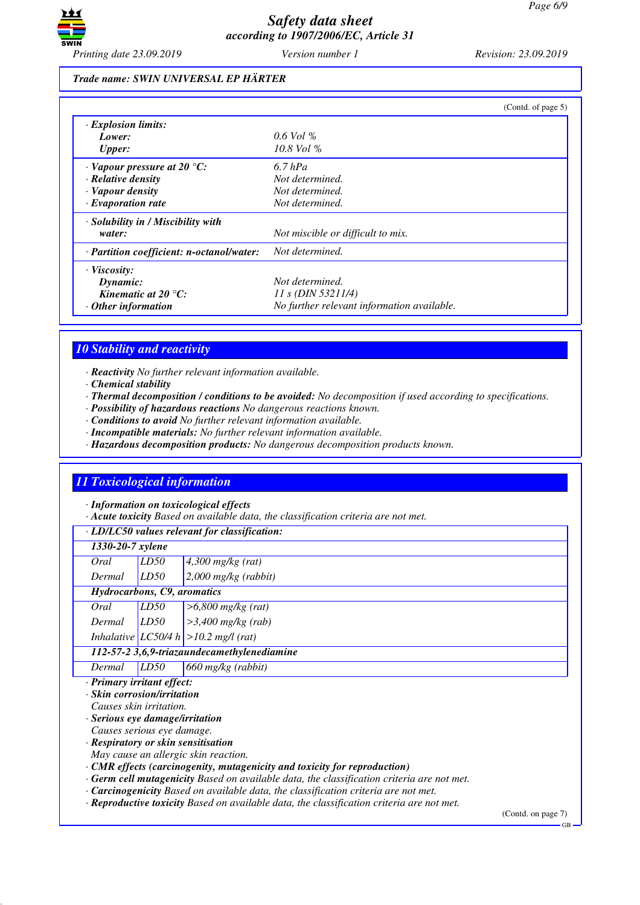

#### *Trade name: SWIN UNIVERSAL EP HÄRTER*

|                                           | (Contd. of page 5)                         |
|-------------------------------------------|--------------------------------------------|
| $\cdot$ Explosion limits:                 |                                            |
| Lower:                                    | $0.6$ Vol %                                |
| <b>Upper:</b>                             | $10.8$ Vol %                               |
| $\cdot$ Vapour pressure at 20 °C:         | $6.7$ hPa                                  |
| $\cdot$ Relative density                  | Not determined.                            |
| · Vapour density                          | Not determined.                            |
| $\cdot$ Evaporation rate                  | Not determined.                            |
| · Solubility in / Miscibility with        |                                            |
| water:                                    | Not miscible or difficult to mix.          |
| · Partition coefficient: n-octanol/water: | Not determined.                            |
| $\cdot$ Viscosity:                        |                                            |
| Dynamic:                                  | Not determined.                            |
| Kinematic at $20^{\circ}$ C:              | 11 s (DIN 53211/4)                         |
| $\cdot$ Other information                 | No further relevant information available. |

# *10 Stability and reactivity*

*· Reactivity No further relevant information available.*

*· Chemical stability*

*· Thermal decomposition / conditions to be avoided: No decomposition if used according to specifications.*

*· Possibility of hazardous reactions No dangerous reactions known.*

*· Conditions to avoid No further relevant information available.*

*· Incompatible materials: No further relevant information available.*

*· Hazardous decomposition products: No dangerous decomposition products known.*

## *11 Toxicological information*

*· Information on toxicological effects*

*· Acute toxicity Based on available data, the classification criteria are not met.*

| · LD/LC50 values relevant for classification:                                                    |      |                                                                                                  |                       |  |
|--------------------------------------------------------------------------------------------------|------|--------------------------------------------------------------------------------------------------|-----------------------|--|
| 1330-20-7 xylene                                                                                 |      |                                                                                                  |                       |  |
| Oral                                                                                             | LD50 | $4,300$ mg/kg (rat)                                                                              |                       |  |
| Dermal                                                                                           | LD50 | $2,000$ mg/kg (rabbit)                                                                           |                       |  |
| Hydrocarbons, C9, aromatics                                                                      |      |                                                                                                  |                       |  |
| Oral                                                                                             | LD50 | $>6,800$ mg/kg (rat)                                                                             |                       |  |
| Dermal                                                                                           | LD50 | $>3,400$ mg/kg (rab)                                                                             |                       |  |
|                                                                                                  |      | Inhalative $ LC50/4 h  > 10.2$ mg/l (rat)                                                        |                       |  |
| 112-57-2 3,6,9-triazaundecamethylenediamine                                                      |      |                                                                                                  |                       |  |
| Dermal                                                                                           | LD50 | 660 mg/kg (rabbit)                                                                               |                       |  |
| · Primary irritant effect:                                                                       |      |                                                                                                  |                       |  |
| · Skin corrosion/irritation                                                                      |      |                                                                                                  |                       |  |
| Causes skin irritation.                                                                          |      |                                                                                                  |                       |  |
| $\cdot$ Serious eye damage/irritation                                                            |      |                                                                                                  |                       |  |
| Causes serious eye damage.                                                                       |      |                                                                                                  |                       |  |
| · Respiratory or skin sensitisation                                                              |      |                                                                                                  |                       |  |
| May cause an allergic skin reaction.                                                             |      |                                                                                                  |                       |  |
| $\cdot$ CMR effects (carcinogenity, mutagenicity and toxicity for reproduction)                  |      |                                                                                                  |                       |  |
| $\cdot$ Germ cell mutagenicity Based on available data, the classification criteria are not met. |      |                                                                                                  |                       |  |
|                                                                                                  |      | $\cdot$ <b>Carcinogenicity</b> Based on available data, the classification criteria are not met. |                       |  |
| $\cdot$ Reproductive toxicity Based on available data, the classification criteria are not met.  |      |                                                                                                  |                       |  |
|                                                                                                  |      |                                                                                                  | $\sqrt{2}$ $\sqrt{1}$ |  |

(Contd. on page 7)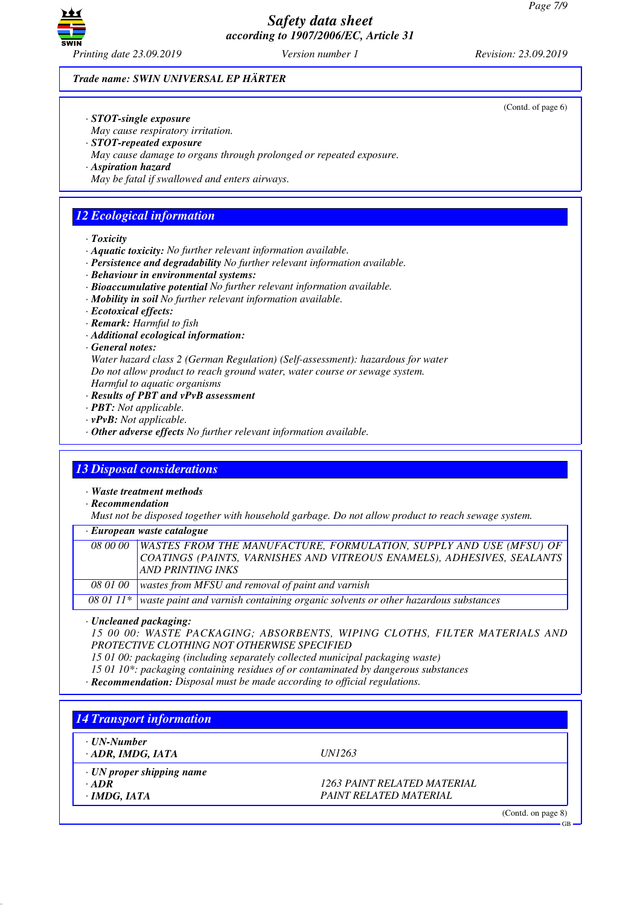

(Contd. of page 6)

#### *Trade name: SWIN UNIVERSAL EP HÄRTER*

- *· STOT-single exposure*
- *May cause respiratory irritation.*
- *· STOT-repeated exposure*
- *May cause damage to organs through prolonged or repeated exposure.*
- *· Aspiration hazard*
- *May be fatal if swallowed and enters airways.*

## *12 Ecological information*

- *· Toxicity*
- *· Aquatic toxicity: No further relevant information available.*
- *· Persistence and degradability No further relevant information available.*
- *· Behaviour in environmental systems:*
- *· Bioaccumulative potential No further relevant information available.*
- *· Mobility in soil No further relevant information available.*
- *· Ecotoxical effects:*
- *· Remark: Harmful to fish*
- *· Additional ecological information:*
- *· General notes:*
- *Water hazard class 2 (German Regulation) (Self-assessment): hazardous for water*
- *Do not allow product to reach ground water, water course or sewage system.*
- *Harmful to aquatic organisms*
- *· Results of PBT and vPvB assessment*
- *· PBT: Not applicable.*
- *· vPvB: Not applicable.*
- *· Other adverse effects No further relevant information available.*

### *13 Disposal considerations*

*· Waste treatment methods*

*· Recommendation*

*Must not be disposed together with household garbage. Do not allow product to reach sewage system.*

*· European waste catalogue*

| <i>08 00 00</i> | <b>WASTES FROM THE MANUFACTURE, FORMULATION, SUPPLY AND USE (MFSU) OF</b><br>COATINGS (PAINTS, VARNISHES AND VITREOUS ENAMELS), ADHESIVES, SEALANTS<br><b>AND PRINTING INKS</b> |
|-----------------|---------------------------------------------------------------------------------------------------------------------------------------------------------------------------------|
| 08 01 00        | wastes from MFSU and removal of paint and varnish                                                                                                                               |

*08 01 11\* waste paint and varnish containing organic solvents or other hazardous substances*

*· Uncleaned packaging:*

*15 00 00: WASTE PACKAGING; ABSORBENTS, WIPING CLOTHS, FILTER MATERIALS AND PROTECTIVE CLOTHING NOT OTHERWISE SPECIFIED*

*15 01 00: packaging (including separately collected municipal packaging waste)*

- *15 01 10\*: packaging containing residues of or contaminated by dangerous substances*
- *· Recommendation: Disposal must be made according to official regulations.*

| <b>14 Transport information</b>        |               |  |
|----------------------------------------|---------------|--|
| ⋅ UN-Number<br>$\cdot$ ADR, IMDG, IATA | <i>UN1263</i> |  |

*· ADR 1263 PAINT RELATED MATERIAL · IMDG, IATA PAINT RELATED MATERIAL*

(Contd. on page 8)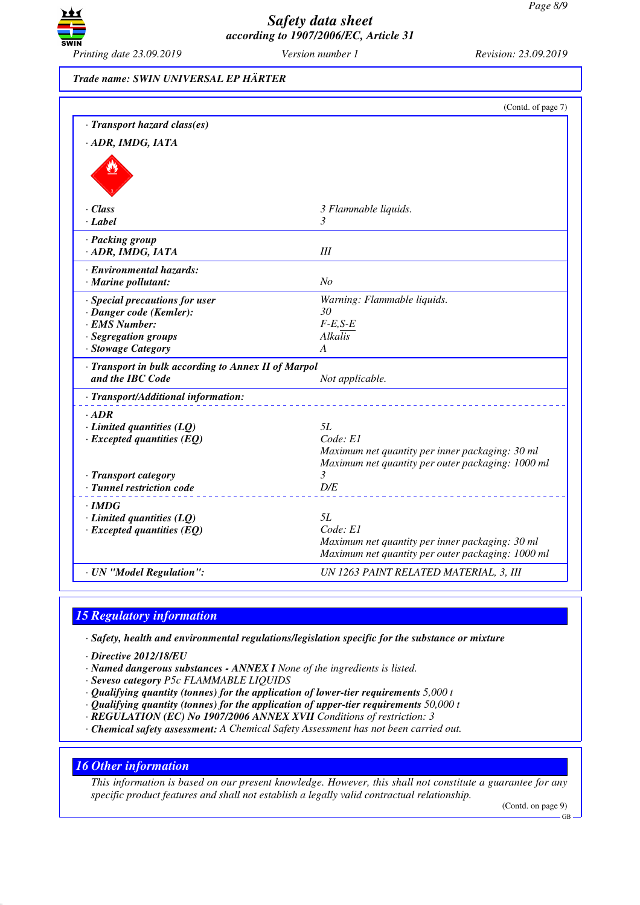

*Trade name: SWIN UNIVERSAL EP HÄRTER*

|                                                                     | (Contd. of page 7)                                     |
|---------------------------------------------------------------------|--------------------------------------------------------|
| · Transport hazard class(es)                                        |                                                        |
| · ADR, IMDG, IATA                                                   |                                                        |
|                                                                     |                                                        |
| $\cdot$ Class                                                       | 3 Flammable liquids.                                   |
| $\cdot$ Label                                                       | 3                                                      |
| · Packing group<br>· ADR, IMDG, IATA                                | III                                                    |
| · Environmental hazards:<br>$\cdot$ Marine pollutant:               | No                                                     |
| · Special precautions for user                                      | Warning: Flammable liquids.                            |
| · Danger code (Kemler):                                             | 30                                                     |
| · EMS Number:                                                       | $F-E,S-E$                                              |
| · Segregation groups<br>· Stowage Category                          | Alkalis<br>A                                           |
| · Transport in bulk according to Annex II of Marpol                 |                                                        |
| and the IBC Code                                                    | Not applicable.                                        |
| · Transport/Additional information:                                 |                                                        |
| $\cdot$ ADR                                                         |                                                        |
| $\cdot$ Limited quantities (LQ)                                     | 5L                                                     |
| $\cdot$ Excepted quantities (EQ)                                    | Code: El                                               |
|                                                                     | Maximum net quantity per inner packaging: 30 ml        |
|                                                                     | Maximum net quantity per outer packaging: 1000 ml<br>3 |
| · Transport category<br>· Tunnel restriction code                   | D/E                                                    |
|                                                                     |                                                        |
| · IMDG                                                              | 5L                                                     |
| $\cdot$ Limited quantities (LQ)<br>$\cdot$ Excepted quantities (EQ) | Code: E1                                               |
|                                                                     | Maximum net quantity per inner packaging: 30 ml        |
|                                                                     | Maximum net quantity per outer packaging: 1000 ml      |
| · UN "Model Regulation":                                            | UN 1263 PAINT RELATED MATERIAL, 3, III                 |
|                                                                     |                                                        |

# *15 Regulatory information*

*· Safety, health and environmental regulations/legislation specific for the substance or mixture*

- *· Directive 2012/18/EU*
- *· Named dangerous substances ANNEX I None of the ingredients is listed.*
- *· Seveso category P5c FLAMMABLE LIQUIDS*
- *· Qualifying quantity (tonnes) for the application of lower-tier requirements 5,000 t*
- *· Qualifying quantity (tonnes) for the application of upper-tier requirements 50,000 t*
- *· REGULATION (EC) No 1907/2006 ANNEX XVII Conditions of restriction: 3*
- *· Chemical safety assessment: A Chemical Safety Assessment has not been carried out.*

### *16 Other information*

*This information is based on our present knowledge. However, this shall not constitute a guarantee for any specific product features and shall not establish a legally valid contractual relationship.*

(Contd. on page 9)

GB